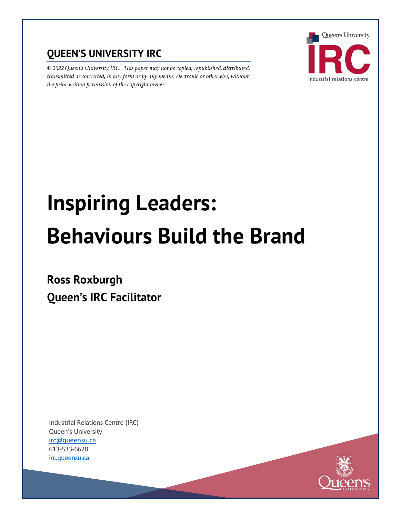# **QUEEN'S UNIVERSITY IRC**

© 2022 Queen's University IRC. This paper may not be copied, republished, distributed, transmitted or converted, in any form or by any means, electronic or otherwise, without the prior written permission of the copyright o



# **Inspiring Leaders: Behaviours Build the Brand**

# **Ross Roxburgh Queen's IRC Facilitator**

Industrial Relations Centre (IRC) Queen's University [irc@queensu.ca](mailto:irc@queensu.ca) 613-533-6628 [irc.queensu.ca](http://irc.queensu.ca/)

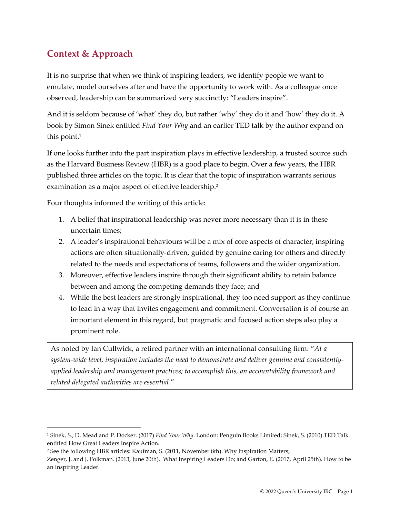# **Context & Approach**

It is no surprise that when we think of inspiring leaders, we identify people we want to emulate, model ourselves after and have the opportunity to work with. As a colleague once observed, leadership can be summarized very succinctly: "Leaders inspire".

And it is seldom because of 'what' they do, but rather 'why' they do it and 'how' they do it. A book by Simon Sinek entitled *Find Your Why* and an earlier TED talk by the author expand on this point. $1$ 

If one looks further into the part inspiration plays in effective leadership, a trusted source such as the Harvard Business Review (HBR) is a good place to begin. Over a few years, the HBR published three articles on the topic. It is clear that the topic of inspiration warrants serious examination as a major aspect of effective leadership.<sup>2</sup>

Four thoughts informed the writing of this article:

- 1. A belief that inspirational leadership was never more necessary than it is in these uncertain times;
- 2. A leader's inspirational behaviours will be a mix of core aspects of character; inspiring actions are often situationally-driven, guided by genuine caring for others and directly related to the needs and expectations of teams, followers and the wider organization.
- 3. Moreover, effective leaders inspire through their significant ability to retain balance between and among the competing demands they face; and
- 4. While the best leaders are strongly inspirational, they too need support as they continue to lead in a way that invites engagement and commitment. Conversation is of course an important element in this regard, but pragmatic and focused action steps also play a prominent role.

As noted by Ian Cullwick, a retired partner with an international consulting firm: "*At a system-wide level, inspiration includes the need to demonstrate and deliver genuine and consistentlyapplied leadership and management practices; to accomplish this, an accountability framework and related delegated authorities are essential*."

<sup>1</sup> Sinek, S., D. Mead and P. Docker. (2017) *Find Your Why*. London: Penguin Books Limited; Sinek, S. (2010) TED Talk entitled How Great Leaders Inspire Action.

<sup>2</sup> See the following HBR articles: Kaufman, S. (2011, November 8th). Why Inspiration Matters;

Zenger, J. and J. Folkman. (2013, June 20th). What Inspiring Leaders Do; and Garton, E. (2017, April 25th). How to be an Inspiring Leader.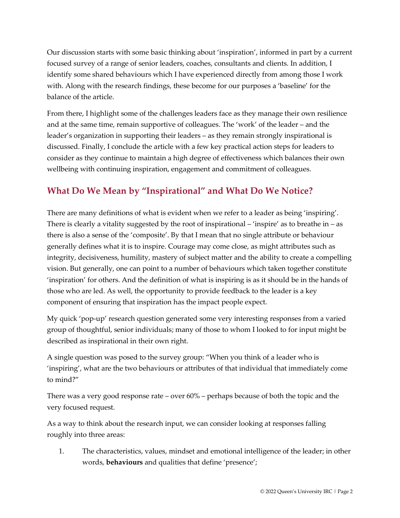Our discussion starts with some basic thinking about 'inspiration', informed in part by a current focused survey of a range of senior leaders, coaches, consultants and clients. In addition, I identify some shared behaviours which I have experienced directly from among those I work with. Along with the research findings, these become for our purposes a 'baseline' for the balance of the article.

From there, I highlight some of the challenges leaders face as they manage their own resilience and at the same time, remain supportive of colleagues. The 'work' of the leader – and the leader's organization in supporting their leaders – as they remain strongly inspirational is discussed. Finally, I conclude the article with a few key practical action steps for leaders to consider as they continue to maintain a high degree of effectiveness which balances their own wellbeing with continuing inspiration, engagement and commitment of colleagues.

#### **What Do We Mean by "Inspirational" and What Do We Notice?**

There are many definitions of what is evident when we refer to a leader as being 'inspiring'. There is clearly a vitality suggested by the root of inspirational  $-$  'inspire' as to breathe in  $-$  as there is also a sense of the 'composite'. By that I mean that no single attribute or behaviour generally defines what it is to inspire. Courage may come close, as might attributes such as integrity, decisiveness, humility, mastery of subject matter and the ability to create a compelling vision. But generally, one can point to a number of behaviours which taken together constitute 'inspiration' for others. And the definition of what is inspiring is as it should be in the hands of those who are led. As well, the opportunity to provide feedback to the leader is a key component of ensuring that inspiration has the impact people expect.

My quick 'pop-up' research question generated some very interesting responses from a varied group of thoughtful, senior individuals; many of those to whom I looked to for input might be described as inspirational in their own right.

A single question was posed to the survey group: "When you think of a leader who is 'inspiring', what are the two behaviours or attributes of that individual that immediately come to mind?"

There was a very good response rate – over 60% – perhaps because of both the topic and the very focused request.

As a way to think about the research input, we can consider looking at responses falling roughly into three areas:

1. The characteristics, values, mindset and emotional intelligence of the leader; in other words, **behaviours** and qualities that define 'presence';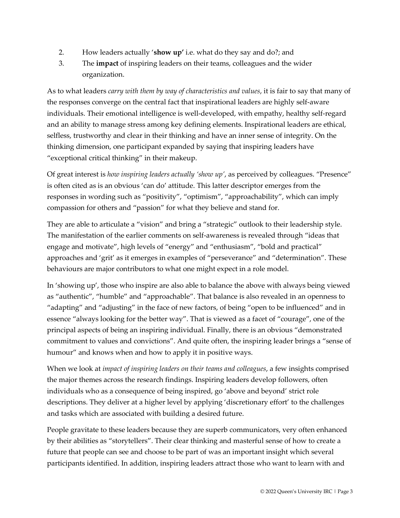- 2. How leaders actually '**show up'** i.e. what do they say and do?; and
- 3. The **impact** of inspiring leaders on their teams, colleagues and the wider organization.

As to what leaders *carry with them by way of characteristics and values*, it is fair to say that many of the responses converge on the central fact that inspirational leaders are highly self-aware individuals. Their emotional intelligence is well-developed, with empathy, healthy self-regard and an ability to manage stress among key defining elements. Inspirational leaders are ethical, selfless, trustworthy and clear in their thinking and have an inner sense of integrity. On the thinking dimension, one participant expanded by saying that inspiring leaders have "exceptional critical thinking" in their makeup.

Of great interest is *how inspiring leaders actually 'show up'*, as perceived by colleagues. "Presence" is often cited as is an obvious 'can do' attitude. This latter descriptor emerges from the responses in wording such as "positivity", "optimism", "approachability", which can imply compassion for others and "passion" for what they believe and stand for.

They are able to articulate a "vision" and bring a "strategic" outlook to their leadership style. The manifestation of the earlier comments on self-awareness is revealed through "ideas that engage and motivate", high levels of "energy" and "enthusiasm", "bold and practical" approaches and 'grit' as it emerges in examples of "perseverance" and "determination". These behaviours are major contributors to what one might expect in a role model.

In 'showing up', those who inspire are also able to balance the above with always being viewed as "authentic", "humble" and "approachable". That balance is also revealed in an openness to "adapting" and "adjusting" in the face of new factors, of being "open to be influenced" and in essence "always looking for the better way". That is viewed as a facet of "courage", one of the principal aspects of being an inspiring individual. Finally, there is an obvious "demonstrated commitment to values and convictions". And quite often, the inspiring leader brings a "sense of humour" and knows when and how to apply it in positive ways.

When we look at *impact of inspiring leaders on their teams and colleagues*, a few insights comprised the major themes across the research findings. Inspiring leaders develop followers, often individuals who as a consequence of being inspired, go 'above and beyond' strict role descriptions. They deliver at a higher level by applying 'discretionary effort' to the challenges and tasks which are associated with building a desired future.

People gravitate to these leaders because they are superb communicators, very often enhanced by their abilities as "storytellers". Their clear thinking and masterful sense of how to create a future that people can see and choose to be part of was an important insight which several participants identified. In addition, inspiring leaders attract those who want to learn with and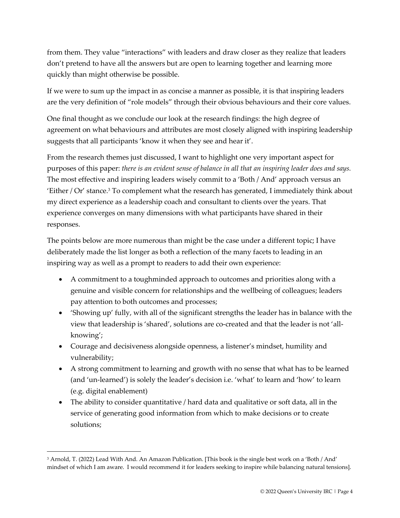from them. They value "interactions" with leaders and draw closer as they realize that leaders don't pretend to have all the answers but are open to learning together and learning more quickly than might otherwise be possible.

If we were to sum up the impact in as concise a manner as possible, it is that inspiring leaders are the very definition of "role models" through their obvious behaviours and their core values.

One final thought as we conclude our look at the research findings: the high degree of agreement on what behaviours and attributes are most closely aligned with inspiring leadership suggests that all participants 'know it when they see and hear it'.

From the research themes just discussed, I want to highlight one very important aspect for purposes of this paper: *there is an evident sense of balance in all that an inspiring leader does and says.* The most effective and inspiring leaders wisely commit to a 'Both / And' approach versus an 'Either /  $Or'$  stance. $3$  To complement what the research has generated, I immediately think about my direct experience as a leadership coach and consultant to clients over the years. That experience converges on many dimensions with what participants have shared in their responses.

The points below are more numerous than might be the case under a different topic; I have deliberately made the list longer as both a reflection of the many facets to leading in an inspiring way as well as a prompt to readers to add their own experience:

- A commitment to a toughminded approach to outcomes and priorities along with a genuine and visible concern for relationships and the wellbeing of colleagues; leaders pay attention to both outcomes and processes;
- 'Showing up' fully, with all of the significant strengths the leader has in balance with the view that leadership is 'shared', solutions are co-created and that the leader is not 'allknowing';
- Courage and decisiveness alongside openness, a listener's mindset, humility and vulnerability;
- A strong commitment to learning and growth with no sense that what has to be learned (and 'un-learned') is solely the leader's decision i.e. 'what' to learn and 'how' to learn (e.g. digital enablement)
- The ability to consider quantitative / hard data and qualitative or soft data, all in the service of generating good information from which to make decisions or to create solutions;

<sup>3</sup> Arnold, T. (2022) Lead With And. An Amazon Publication. [This book is the single best work on a 'Both / And' mindset of which I am aware. I would recommend it for leaders seeking to inspire while balancing natural tensions].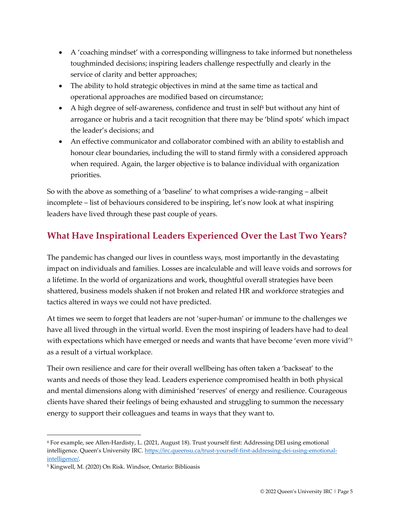- A 'coaching mindset' with a corresponding willingness to take informed but nonetheless toughminded decisions; inspiring leaders challenge respectfully and clearly in the service of clarity and better approaches;
- The ability to hold strategic objectives in mind at the same time as tactical and operational approaches are modified based on circumstance;
- A high degree of self-awareness, confidence and trust in self<sup>4</sup> but without any hint of arrogance or hubris and a tacit recognition that there may be 'blind spots' which impact the leader's decisions; and
- An effective communicator and collaborator combined with an ability to establish and honour clear boundaries, including the will to stand firmly with a considered approach when required. Again, the larger objective is to balance individual with organization priorities.

So with the above as something of a 'baseline' to what comprises a wide-ranging – albeit incomplete – list of behaviours considered to be inspiring, let's now look at what inspiring leaders have lived through these past couple of years.

# **What Have Inspirational Leaders Experienced Over the Last Two Years?**

The pandemic has changed our lives in countless ways, most importantly in the devastating impact on individuals and families. Losses are incalculable and will leave voids and sorrows for a lifetime. In the world of organizations and work, thoughtful overall strategies have been shattered, business models shaken if not broken and related HR and workforce strategies and tactics altered in ways we could not have predicted.

At times we seem to forget that leaders are not 'super-human' or immune to the challenges we have all lived through in the virtual world. Even the most inspiring of leaders have had to deal with expectations which have emerged or needs and wants that have become 'even more vivid'<sup>5</sup> as a result of a virtual workplace.

Their own resilience and care for their overall wellbeing has often taken a 'backseat' to the wants and needs of those they lead. Leaders experience compromised health in both physical and mental dimensions along with diminished 'reserves' of energy and resilience. Courageous clients have shared their feelings of being exhausted and struggling to summon the necessary energy to support their colleagues and teams in ways that they want to.

<sup>4</sup> For example, see Allen-Hardisty, L. (2021, August 18). Trust yourself first: Addressing DEI using emotional intelligence. Queen's University IRC. [https://irc.queensu.ca/trust-yourself-first-addressing-dei-using-emotional](https://irc.queensu.ca/trust-yourself-first-addressing-dei-using-emotional-intelligence/)[intelligence/.](https://irc.queensu.ca/trust-yourself-first-addressing-dei-using-emotional-intelligence/)

<sup>5</sup> Kingwell, M. (2020) On Risk. Windsor, Ontario: Biblioasis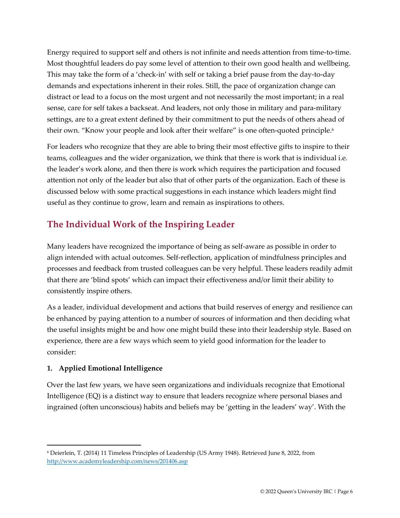Energy required to support self and others is not infinite and needs attention from time-to-time. Most thoughtful leaders do pay some level of attention to their own good health and wellbeing. This may take the form of a 'check-in' with self or taking a brief pause from the day-to-day demands and expectations inherent in their roles. Still, the pace of organization change can distract or lead to a focus on the most urgent and not necessarily the most important; in a real sense, care for self takes a backseat. And leaders, not only those in military and para-military settings, are to a great extent defined by their commitment to put the needs of others ahead of their own. "Know your people and look after their welfare" is one often-quoted principle.<sup>6</sup>

For leaders who recognize that they are able to bring their most effective gifts to inspire to their teams, colleagues and the wider organization, we think that there is work that is individual i.e. the leader's work alone, and then there is work which requires the participation and focused attention not only of the leader but also that of other parts of the organization. Each of these is discussed below with some practical suggestions in each instance which leaders might find useful as they continue to grow, learn and remain as inspirations to others.

# **The Individual Work of the Inspiring Leader**

Many leaders have recognized the importance of being as self-aware as possible in order to align intended with actual outcomes. Self-reflection, application of mindfulness principles and processes and feedback from trusted colleagues can be very helpful. These leaders readily admit that there are 'blind spots' which can impact their effectiveness and/or limit their ability to consistently inspire others.

As a leader, individual development and actions that build reserves of energy and resilience can be enhanced by paying attention to a number of sources of information and then deciding what the useful insights might be and how one might build these into their leadership style. Based on experience, there are a few ways which seem to yield good information for the leader to consider:

#### **1. Applied Emotional Intelligence**

Over the last few years, we have seen organizations and individuals recognize that Emotional Intelligence (EQ) is a distinct way to ensure that leaders recognize where personal biases and ingrained (often unconscious) habits and beliefs may be 'getting in the leaders' way'. With the

<sup>6</sup> Deierlein, T. (2014) 11 Timeless Principles of Leadership (US Army 1948). Retrieved June 8, 2022, from <http://www.academyleadership.com/news/201406.asp>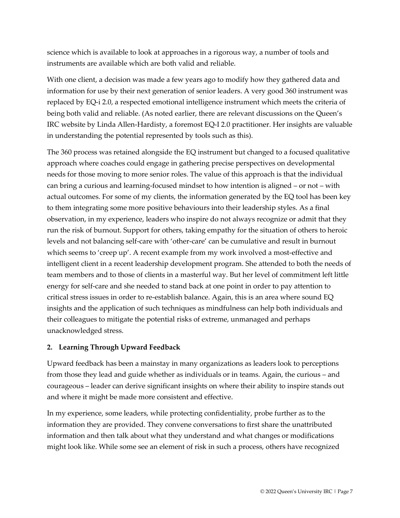science which is available to look at approaches in a rigorous way, a number of tools and instruments are available which are both valid and reliable.

With one client, a decision was made a few years ago to modify how they gathered data and information for use by their next generation of senior leaders. A very good 360 instrument was replaced by EQ-i 2.0, a respected emotional intelligence instrument which meets the criteria of being both valid and reliable. (As noted earlier, there are relevant discussions on the Queen's IRC website by Linda Allen-Hardisty, a foremost EQ-I 2.0 practitioner. Her insights are valuable in understanding the potential represented by tools such as this).

The 360 process was retained alongside the EQ instrument but changed to a focused qualitative approach where coaches could engage in gathering precise perspectives on developmental needs for those moving to more senior roles. The value of this approach is that the individual can bring a curious and learning-focused mindset to how intention is aligned – or not – with actual outcomes. For some of my clients, the information generated by the EQ tool has been key to them integrating some more positive behaviours into their leadership styles. As a final observation, in my experience, leaders who inspire do not always recognize or admit that they run the risk of burnout. Support for others, taking empathy for the situation of others to heroic levels and not balancing self-care with 'other-care' can be cumulative and result in burnout which seems to 'creep up'. A recent example from my work involved a most-effective and intelligent client in a recent leadership development program. She attended to both the needs of team members and to those of clients in a masterful way. But her level of commitment left little energy for self-care and she needed to stand back at one point in order to pay attention to critical stress issues in order to re-establish balance. Again, this is an area where sound EQ insights and the application of such techniques as mindfulness can help both individuals and their colleagues to mitigate the potential risks of extreme, unmanaged and perhaps unacknowledged stress.

#### **2. Learning Through Upward Feedback**

Upward feedback has been a mainstay in many organizations as leaders look to perceptions from those they lead and guide whether as individuals or in teams. Again, the curious – and courageous – leader can derive significant insights on where their ability to inspire stands out and where it might be made more consistent and effective.

In my experience, some leaders, while protecting confidentiality, probe further as to the information they are provided. They convene conversations to first share the unattributed information and then talk about what they understand and what changes or modifications might look like. While some see an element of risk in such a process, others have recognized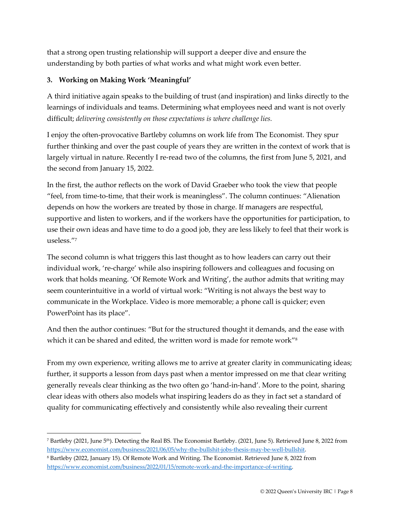that a strong open trusting relationship will support a deeper dive and ensure the understanding by both parties of what works and what might work even better.

#### **3. Working on Making Work 'Meaningful'**

A third initiative again speaks to the building of trust (and inspiration) and links directly to the learnings of individuals and teams. Determining what employees need and want is not overly difficult; *delivering consistently on those expectations is where challenge lies.*

I enjoy the often-provocative Bartleby columns on work life from The Economist. They spur further thinking and over the past couple of years they are written in the context of work that is largely virtual in nature. Recently I re-read two of the columns, the first from June 5, 2021, and the second from January 15, 2022.

In the first, the author reflects on the work of David Graeber who took the view that people "feel, from time-to-time, that their work is meaningless". The column continues: "Alienation depends on how the workers are treated by those in charge. If managers are respectful, supportive and listen to workers, and if the workers have the opportunities for participation, to use their own ideas and have time to do a good job, they are less likely to feel that their work is useless." 7

The second column is what triggers this last thought as to how leaders can carry out their individual work, 're-charge' while also inspiring followers and colleagues and focusing on work that holds meaning. 'Of Remote Work and Writing', the author admits that writing may seem counterintuitive in a world of virtual work: "Writing is not always the best way to communicate in the Workplace. Video is more memorable; a phone call is quicker; even PowerPoint has its place".

And then the author continues: "But for the structured thought it demands, and the ease with which it can be shared and edited, the written word is made for remote work<sup>"8</sup>

From my own experience, writing allows me to arrive at greater clarity in communicating ideas; further, it supports a lesson from days past when a mentor impressed on me that clear writing generally reveals clear thinking as the two often go 'hand-in-hand'. More to the point, sharing clear ideas with others also models what inspiring leaders do as they in fact set a standard of quality for communicating effectively and consistently while also revealing their current

<sup>&</sup>lt;sup>7</sup> Bartleby (2021, June 5<sup>th</sup>). Detecting the Real BS. The Economist Bartleby. (2021, June 5). Retrieved June 8, 2022 from [https://www.economist.com/business/2021/06/05/why-the-bullshit-jobs-thesis-may-be-well-bullshit.](https://www.economist.com/business/2021/06/05/why-the-bullshit-jobs-thesis-may-be-well-bullshit) 

<sup>8</sup> Bartleby (2022, January 15). Of Remote Work and Writing. The Economist. Retrieved June 8, 2022 from [https://www.economist.com/business/2022/01/15/remote-work-and-the-importance-of-writing.](https://www.economist.com/business/2022/01/15/remote-work-and-the-importance-of-writing)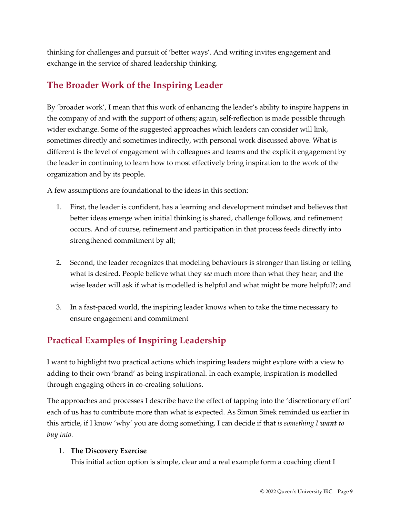thinking for challenges and pursuit of 'better ways'. And writing invites engagement and exchange in the service of shared leadership thinking.

#### **The Broader Work of the Inspiring Leader**

By 'broader work', I mean that this work of enhancing the leader's ability to inspire happens in the company of and with the support of others; again, self-reflection is made possible through wider exchange. Some of the suggested approaches which leaders can consider will link, sometimes directly and sometimes indirectly, with personal work discussed above. What is different is the level of engagement with colleagues and teams and the explicit engagement by the leader in continuing to learn how to most effectively bring inspiration to the work of the organization and by its people.

A few assumptions are foundational to the ideas in this section:

- 1. First, the leader is confident, has a learning and development mindset and believes that better ideas emerge when initial thinking is shared, challenge follows, and refinement occurs. And of course, refinement and participation in that process feeds directly into strengthened commitment by all;
- 2. Second, the leader recognizes that modeling behaviours is stronger than listing or telling what is desired. People believe what they *see* much more than what they hear; and the wise leader will ask if what is modelled is helpful and what might be more helpful?; and
- 3. In a fast-paced world, the inspiring leader knows when to take the time necessary to ensure engagement and commitment

#### **Practical Examples of Inspiring Leadership**

I want to highlight two practical actions which inspiring leaders might explore with a view to adding to their own 'brand' as being inspirational. In each example, inspiration is modelled through engaging others in co-creating solutions.

The approaches and processes I describe have the effect of tapping into the 'discretionary effort' each of us has to contribute more than what is expected. As Simon Sinek reminded us earlier in this article, if I know 'why' you are doing something, I can decide if that *is something I want to buy into.*

#### 1. **The Discovery Exercise**

This initial action option is simple, clear and a real example form a coaching client I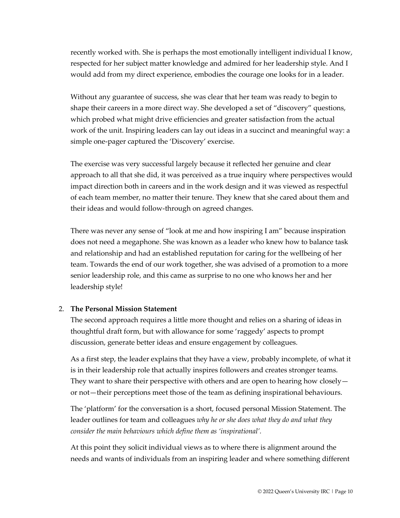recently worked with. She is perhaps the most emotionally intelligent individual I know, respected for her subject matter knowledge and admired for her leadership style. And I would add from my direct experience, embodies the courage one looks for in a leader.

Without any guarantee of success, she was clear that her team was ready to begin to shape their careers in a more direct way. She developed a set of "discovery" questions, which probed what might drive efficiencies and greater satisfaction from the actual work of the unit. Inspiring leaders can lay out ideas in a succinct and meaningful way: a simple one-pager captured the 'Discovery' exercise.

The exercise was very successful largely because it reflected her genuine and clear approach to all that she did, it was perceived as a true inquiry where perspectives would impact direction both in careers and in the work design and it was viewed as respectful of each team member, no matter their tenure. They knew that she cared about them and their ideas and would follow-through on agreed changes.

There was never any sense of "look at me and how inspiring I am" because inspiration does not need a megaphone. She was known as a leader who knew how to balance task and relationship and had an established reputation for caring for the wellbeing of her team. Towards the end of our work together, she was advised of a promotion to a more senior leadership role, and this came as surprise to no one who knows her and her leadership style!

#### 2. **The Personal Mission Statement**

The second approach requires a little more thought and relies on a sharing of ideas in thoughtful draft form, but with allowance for some 'raggedy' aspects to prompt discussion, generate better ideas and ensure engagement by colleagues.

As a first step, the leader explains that they have a view, probably incomplete, of what it is in their leadership role that actually inspires followers and creates stronger teams. They want to share their perspective with others and are open to hearing how closely or not—their perceptions meet those of the team as defining inspirational behaviours.

The 'platform' for the conversation is a short, focused personal Mission Statement. The leader outlines for team and colleagues *why he or she does what they do and what they consider the main behaviours which define them as 'inspirational'.*

At this point they solicit individual views as to where there is alignment around the needs and wants of individuals from an inspiring leader and where something different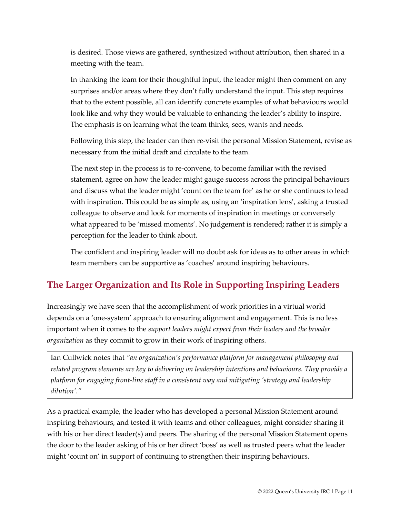is desired. Those views are gathered, synthesized without attribution, then shared in a meeting with the team.

In thanking the team for their thoughtful input, the leader might then comment on any surprises and/or areas where they don't fully understand the input. This step requires that to the extent possible, all can identify concrete examples of what behaviours would look like and why they would be valuable to enhancing the leader's ability to inspire. The emphasis is on learning what the team thinks, sees, wants and needs.

Following this step, the leader can then re-visit the personal Mission Statement, revise as necessary from the initial draft and circulate to the team.

The next step in the process is to re-convene, to become familiar with the revised statement, agree on how the leader might gauge success across the principal behaviours and discuss what the leader might 'count on the team for' as he or she continues to lead with inspiration. This could be as simple as, using an 'inspiration lens', asking a trusted colleague to observe and look for moments of inspiration in meetings or conversely what appeared to be 'missed moments'. No judgement is rendered; rather it is simply a perception for the leader to think about.

The confident and inspiring leader will no doubt ask for ideas as to other areas in which team members can be supportive as 'coaches' around inspiring behaviours.

# **The Larger Organization and Its Role in Supporting Inspiring Leaders**

Increasingly we have seen that the accomplishment of work priorities in a virtual world depends on a 'one-system' approach to ensuring alignment and engagement. This is no less important when it comes to the *support leaders might expect from their leaders and the broader organization* as they commit to grow in their work of inspiring others.

Ian Cullwick notes that *"an organization's performance platform for management philosophy and related program elements are key to delivering on leadership intentions and behaviours. They provide a platform for engaging front-line staff in a consistent way and mitigating 'strategy and leadership dilution'."*

As a practical example, the leader who has developed a personal Mission Statement around inspiring behaviours, and tested it with teams and other colleagues, might consider sharing it with his or her direct leader(s) and peers. The sharing of the personal Mission Statement opens the door to the leader asking of his or her direct 'boss' as well as trusted peers what the leader might 'count on' in support of continuing to strengthen their inspiring behaviours.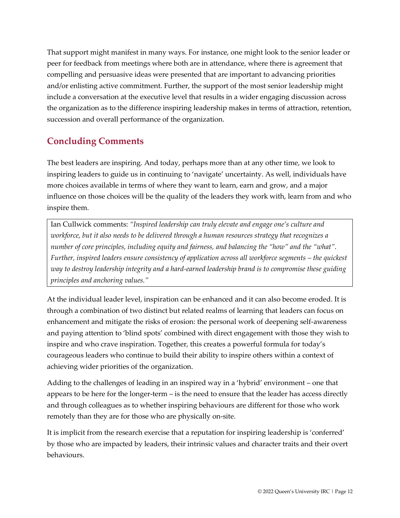That support might manifest in many ways. For instance, one might look to the senior leader or peer for feedback from meetings where both are in attendance, where there is agreement that compelling and persuasive ideas were presented that are important to advancing priorities and/or enlisting active commitment. Further, the support of the most senior leadership might include a conversation at the executive level that results in a wider engaging discussion across the organization as to the difference inspiring leadership makes in terms of attraction, retention, succession and overall performance of the organization.

#### **Concluding Comments**

The best leaders are inspiring. And today, perhaps more than at any other time, we look to inspiring leaders to guide us in continuing to 'navigate' uncertainty. As well, individuals have more choices available in terms of where they want to learn, earn and grow, and a major influence on those choices will be the quality of the leaders they work with, learn from and who inspire them.

Ian Cullwick comments: *"Inspired leadership can truly elevate and engage one's culture and workforce, but it also needs to be delivered through a human resources strategy that recognizes a number of core principles, including equity and fairness, and balancing the "how" and the "what". Further, inspired leaders ensure consistency of application across all workforce segments – the quickest way to destroy leadership integrity and a hard-earned leadership brand is to compromise these guiding principles and anchoring values."*

At the individual leader level, inspiration can be enhanced and it can also become eroded. It is through a combination of two distinct but related realms of learning that leaders can focus on enhancement and mitigate the risks of erosion: the personal work of deepening self-awareness and paying attention to 'blind spots' combined with direct engagement with those they wish to inspire and who crave inspiration. Together, this creates a powerful formula for today's courageous leaders who continue to build their ability to inspire others within a context of achieving wider priorities of the organization.

Adding to the challenges of leading in an inspired way in a 'hybrid' environment – one that appears to be here for the longer-term – is the need to ensure that the leader has access directly and through colleagues as to whether inspiring behaviours are different for those who work remotely than they are for those who are physically on-site.

It is implicit from the research exercise that a reputation for inspiring leadership is 'conferred' by those who are impacted by leaders, their intrinsic values and character traits and their overt behaviours.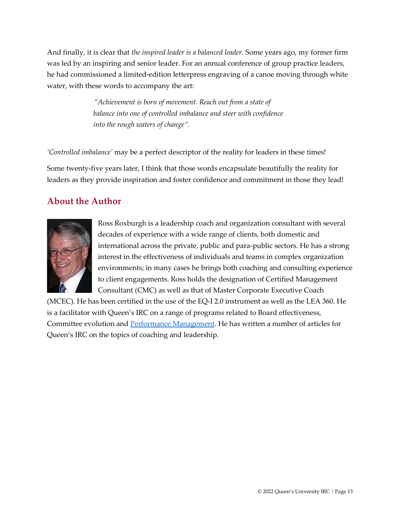And finally*,* it is clear that *the inspired leader is a balanced leader.* Some years ago, my former firm was led by an inspiring and senior leader. For an annual conference of group practice leaders, he had commissioned a limited-edition letterpress engraving of a canoe moving through white water, with these words to accompany the art:

> *"Achievement is born of movement. Reach out from a state of balance into one of controlled imbalance and steer with confidence into the rough waters of change".*

*'Controlled imbalance'* may be a perfect descriptor of the reality for leaders in these times!

Some twenty-five years later, I think that those words encapsulate beautifully the reality for leaders as they provide inspiration and foster confidence and commitment in those they lead!

#### **About the Author**



Ross Roxburgh is a leadership coach and organization consultant with several decades of experience with a wide range of clients, both domestic and international across the private, public and para-public sectors. He has a strong interest in the effectiveness of individuals and teams in complex organization environments; in many cases he brings both coaching and consulting experience to client engagements. Ross holds the designation of Certified Management Consultant (CMC) as well as that of Master Corporate Executive Coach

(MCEC). He has been certified in the use of the EQ-I 2.0 instrument as well as the LEA 360. He is a facilitator with Queen's IRC on a range of programs related to Board effectiveness, Committee evolution and [Performance Management.](https://irc.queensu.ca/performance-management/) He has written a number of articles for Queen's IRC on the topics of coaching and leadership.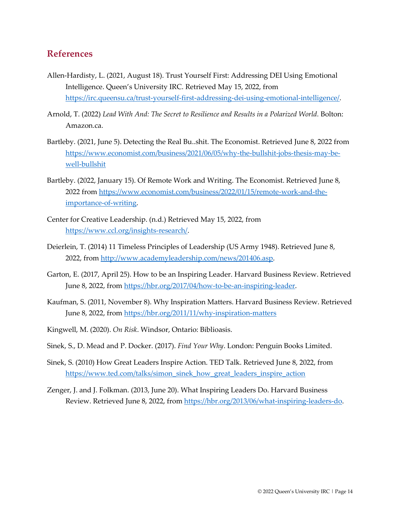#### **References**

- Allen-Hardisty, L. (2021, August 18). Trust Yourself First: Addressing DEI Using Emotional Intelligence. Queen's University IRC. Retrieved May 15, 2022, from [https://irc.queensu.ca/trust-yourself-first-addressing-dei-using-emotional-intelligence/.](https://irc.queensu.ca/trust-yourself-first-addressing-dei-using-emotional-intelligence/)
- Arnold, T. (2022) *Lead With And: The Secret to Resilience and Results in a Polarized World.* Bolton: Amazon.ca.
- Bartleby. (2021, June 5). Detecting the Real Bu..shit. The Economist. Retrieved June 8, 2022 from [https://www.economist.com/business/2021/06/05/why-the-bullshit-jobs-thesis-may-be](https://www.economist.com/business/2021/06/05/why-the-bullshit-jobs-thesis-may-be-well-bullshit)[well-bullshit](https://www.economist.com/business/2021/06/05/why-the-bullshit-jobs-thesis-may-be-well-bullshit)
- Bartleby. (2022, January 15). Of Remote Work and Writing. The Economist. Retrieved June 8, 2022 from [https://www.economist.com/business/2022/01/15/remote-work-and-the](https://www.economist.com/business/2022/01/15/remote-work-and-the-importance-of-writing)[importance-of-writing.](https://www.economist.com/business/2022/01/15/remote-work-and-the-importance-of-writing)
- Center for Creative Leadership. (n.d.) Retrieved May 15, 2022, from [https://www.ccl.org/insights-research/.](https://www.ccl.org/insights-research/)
- Deierlein, T. (2014) 11 Timeless Principles of Leadership (US Army 1948). Retrieved June 8, 2022, from [http://www.academyleadership.com/news/201406.asp.](http://www.academyleadership.com/news/201406.asp)
- Garton, E. (2017, April 25). How to be an Inspiring Leader. Harvard Business Review. Retrieved June 8, 2022, from [https://hbr.org/2017/04/how-to-be-an-inspiring-leader.](https://hbr.org/2017/04/how-to-be-an-inspiring-leader)
- Kaufman, S. (2011, November 8). Why Inspiration Matters. Harvard Business Review. Retrieved June 8, 2022, from<https://hbr.org/2011/11/why-inspiration-matters>
- Kingwell, M. (2020). *On Risk*. Windsor, Ontario: Biblioasis.
- Sinek, S., D. Mead and P. Docker. (2017). *Find Your Why*. London: Penguin Books Limited.
- Sinek, S. (2010) How Great Leaders Inspire Action. TED Talk. Retrieved June 8, 2022, from [https://www.ted.com/talks/simon\\_sinek\\_how\\_great\\_leaders\\_inspire\\_action](https://www.ted.com/talks/simon_sinek_how_great_leaders_inspire_action)
- Zenger, J. and J. Folkman. (2013, June 20). What Inspiring Leaders Do. Harvard Business Review. Retrieved June 8, 2022, from [https://hbr.org/2013/06/what-inspiring-leaders-do.](https://hbr.org/2013/06/what-inspiring-leaders-do)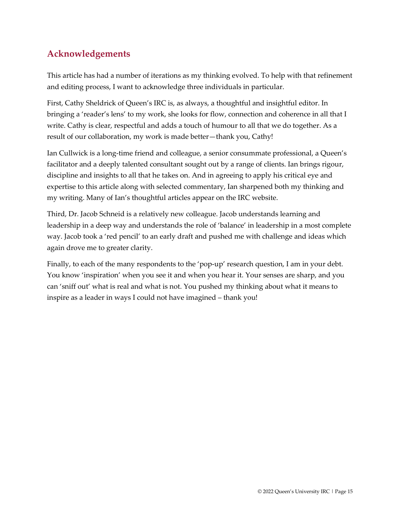### **Acknowledgements**

This article has had a number of iterations as my thinking evolved. To help with that refinement and editing process, I want to acknowledge three individuals in particular.

First, Cathy Sheldrick of Queen's IRC is, as always, a thoughtful and insightful editor. In bringing a 'reader's lens' to my work, she looks for flow, connection and coherence in all that I write. Cathy is clear, respectful and adds a touch of humour to all that we do together. As a result of our collaboration, my work is made better—thank you, Cathy!

Ian Cullwick is a long-time friend and colleague, a senior consummate professional, a Queen's facilitator and a deeply talented consultant sought out by a range of clients. Ian brings rigour, discipline and insights to all that he takes on. And in agreeing to apply his critical eye and expertise to this article along with selected commentary, Ian sharpened both my thinking and my writing. Many of Ian's thoughtful articles appear on the IRC website.

Third, Dr. Jacob Schneid is a relatively new colleague. Jacob understands learning and leadership in a deep way and understands the role of 'balance' in leadership in a most complete way. Jacob took a 'red pencil' to an early draft and pushed me with challenge and ideas which again drove me to greater clarity.

Finally, to each of the many respondents to the 'pop-up' research question, I am in your debt. You know 'inspiration' when you see it and when you hear it. Your senses are sharp, and you can 'sniff out' what is real and what is not. You pushed my thinking about what it means to inspire as a leader in ways I could not have imagined – thank you!